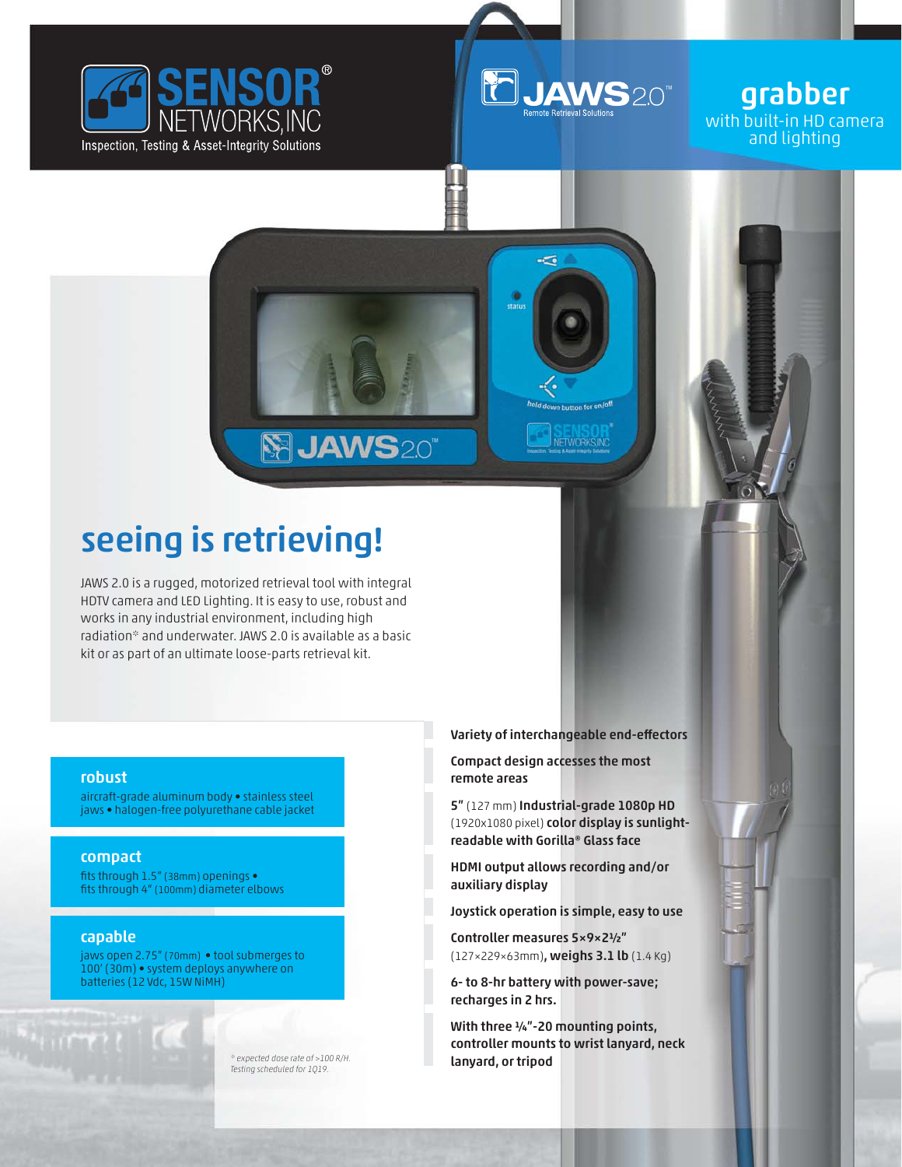



 $\overline{\phantom{a}}$ 

**WORKS INC** 

grabber with built-in HD camera and lighting

## seeing is retrieving!

JAWS 2.0 is a rugged, motorized retrieval tool with integral HDTV camera and LED Lighting. It is easy to use, robust and works in any industrial environment, including high radiation\* and underwater. JAWS 2.0 is available as a basic kit or as part of an ultimate loose-parts retrieval kit.

SIJAWS20

## robust

aircraft-grade aluminum body • stainless steel jaws • halogen-free polyurethane cable jacket

## compact

fits through 1.5" (38mm) openings • fits through 4" (100mm) diameter elbows

## capable

jaws open 2.75" (70mm) • tool submerges to 100' (30m) • system deploys anywhere on batteries (12 Vdc, 15W NiMH)

> *\* expected dose rate of >100 R/H. Testing scheduled for 1Q19.*

Variety of interchangeable end-effectors

Compact design accesses the most remote areas

5" (127 mm) Industrial-grade 1080p HD (1920x1080 pixel) color display is sunlightreadable with Gorilla® Glass face

HDMI output allows recording and/or auxiliary display

Joystick operation is simple, easy to use

Controller measures 5×9×2½" (127×229×63mm), weighs 3.1 lb (1.4 Kg)

6- to 8-hr battery with power-save; recharges in 2 hrs.

With three  $\frac{1}{4}$ "-20 mounting points, controller mounts to wrist lanyard, neck lanyard, or tripod